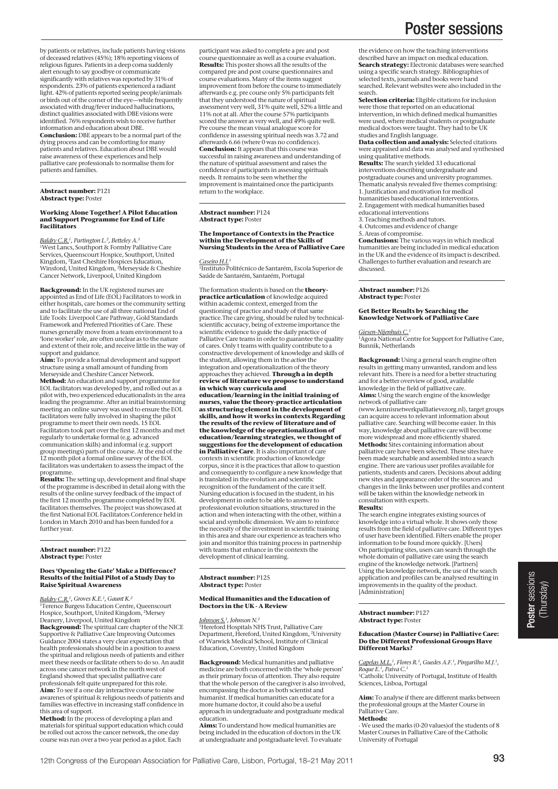by patients or relatives, include patients having visions of deceased relatives (45%); 18% reporting visions of religious figures. Patients in a deep coma suddenly alert enough to say goodbye or communicate significantly with relatives was reported by 31% of respondents. 23% of patients experienced a radiant<br>light. 42% of patients reported seeing people/animals<br>or birds out of the corner of the eye—while frequently<br>associated with drug/fever induced hallucinations,<br>distinct qu identified. 76% respondents wish to receive further information and education about DBE. **Conclusion:** DBE appears to be a normal part of the dying process and can be comforting for many patients and relatives. Education about DBE would raise awareness of these experiences and help palliative care professionals to normalise them for

**Abstract number:** P121 **Abstract type:** Poster

patients and families.

#### **Working Alone Together! A Pilot Education and Support Programme for End of Life Facilitators**

*Baldry C.R.1, Partington L.2, Betteley A.3* 1West Lancs, Southport & Formby Palliative Care Services, Queenscourt Hospice, Southport, United Kingdom, <sup>2</sup>East Cheshire Hospices Education,<br>Winsford, United Kingdom, <sup>3</sup>Merseyside & Cheshire<br>Cancer Network, Liverpool, United Kingdom

**Background:** In the UK registered nurses are appointed as End of Life (EOL) Facilitators to work in either hospitals, care homes or the community setting and to facilitate the use of all three national End of Life Tools: Liverpool Care Pathway, Gold Standards Framework and Preferred Priorities of Care. These nurses generally move from a team environment to a 'lone worker' role, are often unclear as to the nature and extent of their role, and receive little in the way of support and guidance.

**Aim:** To provide a formal development and support structure using a small amount of funding from Merseyside and Cheshire Cancer Network.

**Method:** An education and support programme for EOL facilitators was developed by, and rolled out as a pilot with, two experienced educationalists in the area leading the programme. After an initial brainstorming meeting an online survey was used to ensure the EOL facilitators were fully involved in shaping the pilot programme to meet their own needs. 15 EOL Facilitators took part over the first 12 months and met regularly to undertake formal (e.g. advanced communication skills) and informal (e.g. support group meetings) parts of the course. At the end of the 12 month pilot a formal online survey of the EOL facilitators was undertaken to assess the impact of the programme.

**Results:** The setting up, development and final shape of the programme is described in detail along with the results of the online survey feedback of the impact of the first 12 months programme completed by EOL facilitators themselves. The project was showcased at the first National EOL Facilitators Conference held in London in March 2010 and has been funded for a further year.

**Abstract number:** P122 **Abstract type:** Poster

#### **Does 'Opening the Gate' Make a Difference? Results of the Initial Pilot of a Study Day to Raise Spiritual Awareness**

*Baldry C.R.1, Groves K.E.1, Gaunt K.2*

1Terence Burgess Education Centre, Queenscourt Hospice, Southport, United Kingdom, 2Mersey Deanery, Liverpool, United Kingdom

**Background:** The spiritual care chapter of the NICE Supportive & Palliative Care Improving Outcomes Guidance 2004 states a very clear expectation that health professionals should be in a position to assess the spiritual and religious needs of patients and either meet these needs or facilitate others to do so. An audit across one cancer network in the north west of England showed that specialist palliative care professionals felt quite unprepared for this role. **Aim:** To see if a one day interactive course to raise awarenes of spiritual & religious needs of patients and families was effective in increasing staff confidence in

this area of support.<br>**Method:** In the process of developing a plan and<br>materials for spiritual support education which could be rolled out across the cancer network, the one day course was run over a two year period as a pilot. Each

participant was asked to complete a pre and post course questionnaire as well as a course evaluation. **Results:** This poster shows all the results of the compared pre and post course questionnaires and course evaluations. Many of the items suggest improvement from before the course to immediately afterwards e.g. pre course only 5% participants felt that they understood the nature of spiritual assessment very well, 31% quite well, 52% a little and 11% not at all. After the course 57% participants scored the answer as very well, and 49% quite well. Pre course the mean visual analogue score for confidence in assessing spiritual needs was 3.72 and afterwards 6.66 (where 0 was no confidence). **Conclusion:** It appears that this course was successful in raising awareness and understanding of the nature of spiritual assessment and raises the confidence of participants in assessing spirituals needs. It remains to be seen whether the improvement is maintained once the participants return to the workplace.

**Abstract number:** P124 **Abstract type:** Poster

# **The Importance of Contexts in the Practice within the Development of the Skills of Nursing Students in the Area of Palliative Care**

#### Caseiro H.I.

1Instituto Politécnico de Santarém, Escola Superior de Saúde de Santarém, Santarém, Portugal

The formation students is based on the **theorypractice articulation** of knowledge acquired within academic context, emerged from the questioning of practice and study of that same practice.The care giving, should be ruled by technicalscientific accuracy, being of extreme importance the scientific evidence to guide the daily practice of Palliative Care teams in order to guarantee the quality of cares. Only t teams with quality contribute to a constructive developement of knowledge and skills of the student, allowing them in the *action* the integration and operationalization of the theory approaches they achieved. **Through a in depth review of literature we propose to understand in which way curricula and**

**education/learning in the initial training of nurses, value the theory-practice articulation as structuring element in the development of skills, and how it works in contexts**.**Regarding the results of the review of literature and of the knowledge of the operationalization of education/learning strategies, we thought of suggestions for the development of education in Palliative Care**. It is also important of care

contexts in scientific production of knowledge corpus, since it is the practices that allow to question and consequently to configure a new knowledge that is translated in the evolution and scientific recognition of the fundament of the care it self. Nursing education is focused in the student, in his development in order to be able to answer to professional evolution situations, structured in the action and when interacting with the other, within a social and symbolic dimension. We aim to reinforce the necessity of the investment in scientific training in this area and share our experience as teachers who join and monitor this training process in partnership with teams that enhance in the contexts the development of clinical learning.

**Abstract number:** P125 **Abstract type:** Poster

#### **Medical Humanities and the Education of Doctors in the UK - A Review**

*Johnson S.1, Johnson N.2*

1Hereford Hospitals NHS Trust, Palliative Care Department, Hereford, United Kingdom, 2University of Warwick Medical School, Institute of Clinical Education, Coventry, United Kingdom

**Background:** Medical humanities and palliative medicine are both concerned with the 'whole person' as their primary focus of attention. They also require that the whole person of the caregiver is also involved, encompassing the doctor as both scientist and humanist. If medical humanities can educate for a more humane doctor, it could also be a useful approach in undergraduate and postgraduate medical education.

**Aims:** To understand how medical humanities are being included in the education of doctors in the UK at undergraduate and postgraduate level. To evaluate

# Poster sessions

the evidence on how the teaching interventions described have an impact on medical education. **Search strategy:** Electronic databases were searched using a specific search strategy. Bibliographies of selected texts, journals and books were hand searched. Relevant websites were also included in the search.

**Selection criteria:** Eligible citations for inclusion were those that reported on an educational intervention, in which defined medical humanities were used, where medical students or postgraduate medical doctors were taught. They had to be UK studies and English language.

**Data collection and analysis:** Selected citations were appraised and data was analysed and synthesised using qualitative methods.

**Results:** The search yielded 33 educational interventions describing undergraduate and postgraduate courses and university programmes. Thematic analysis revealed five themes comprising: 1. Justification and motivation for medical humanities based educational interventions. 2. Engagement with medical humanities based educational interventions

- 3. Teaching methods and tutors.
- 4. Outcomes and evidence of change
- 5. Areas of compromise.

**Conclusions:** The various ways in which medical humanities are being included in medical education in the UK and the evidence of its impact is described. Challenges to further evaluation and research are discussed.

#### **Abstract number:** P126 **Abstract type:** Poster

#### **Get Better Results by Searching the Knowledge Network of Palliative Care**

*Giesen-Nijenhuis C.1*

1Agora National Centre for Support for Palliative Care, Bunnik, Netherlands

**Background:** Using a general search engine often results in getting many unwanted, random and less relevant hits. There is a need for a better structuring and for a better overview of good, available knowledge in the field of palliative care. **Aims:** Using the search engine of the knowledge

network of palliative care (www.kennisnetwerkpalliatievezorg.nl), target groups can acquire access to relevant information about palliative care. Searching will become easier. In this way, knowledge about palliative care will become more widespread and more efficiently shared. **Methods:** Sites containing information about palliative care have been selected. These sites have been made searchable and assembled into a search engine. There are various user profiles available for patients, students and carers. Decisions about adding new sites and appearance order of the sources and changes in the links between user profiles and content will be taken within the knowledge network in consultation with experts.

#### **Results:**

The search engine integrates existing sources of knowledge into a virtual whole. It shows only those results from the field of palliative care. Different types of user have been identified. Filters enable the proper information to be found more quickly. [Users] On participating sites, users can search through the whole domain of palliative care using the search engine of the knowledge network. [Partners] Using the knowledge network, the use of the search application and profiles can be analysed resulting in improvements in the quality of the product. [Administration]

**Abstract number:** P127 **Abstract type:** Poster

#### **Education (Master Course) in Palliative Care: Do the Different Professional Groups Have Different Marks?**

*Capelas M.L.1, Flores R.1, Guedes A.F.1, Pingarilho M.J.1, Roque E.1, Paiva C.1* 1Catholic University of Portugal, Institute of Health

Sciences, Lisboa, Portugal

**Aim:** To analyse if there are different marks between the professional groups at the Master Course in Palliative Care.

## **Methods:**

· We used the marks (0-20 values)of the students of 8 Master Courses in Palliative Care of the Catholic University of Portugal